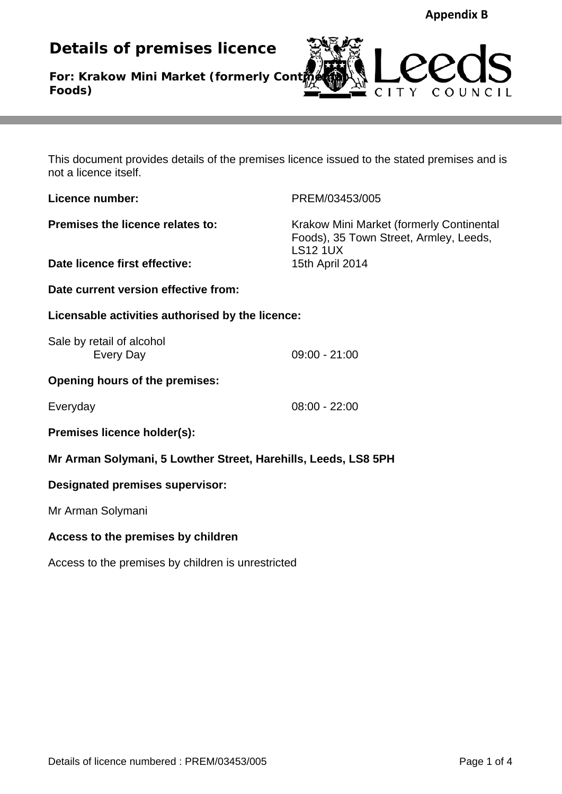**Details of premises licence** 

**For: Krakow Mini Market (formerly Continent Foods)**



This document provides details of the premises licence issued to the stated premises and is not a licence itself.

**Licence number:** PREM/03453/005

**Premises the licence relates to:** Krakow Mini Market (formerly Continental Foods), 35 Town Street, Armley, Leeds, LS12 1UX **Date licence first effective:** 15th April 2014

**Date current version effective from:** 

**Licensable activities authorised by the licence:** 

Sale by retail of alcohol Every Day 09:00 - 21:00

**Opening hours of the premises:** 

Everyday 08:00 - 22:00

**Premises licence holder(s):** 

**Mr Arman Solymani, 5 Lowther Street, Harehills, Leeds, LS8 5PH** 

# **Designated premises supervisor:**

Mr Arman Solymani

# **Access to the premises by children**

Access to the premises by children is unrestricted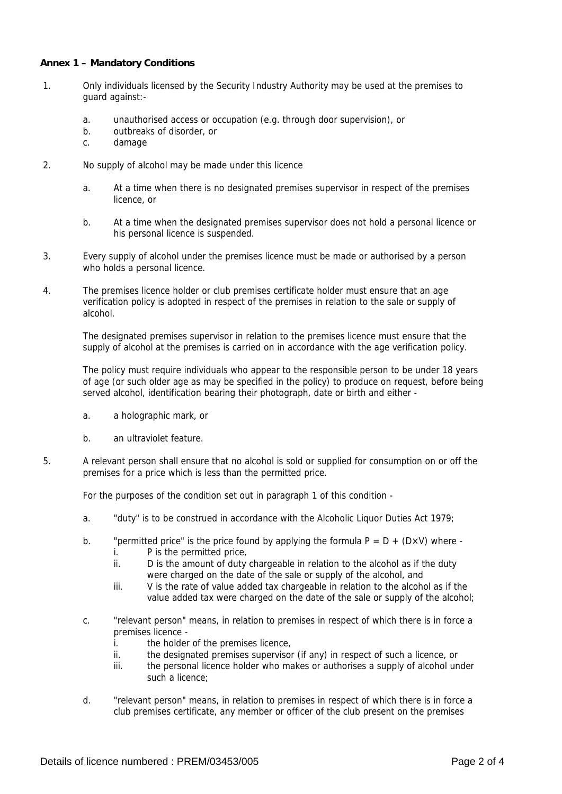#### **Annex 1 – Mandatory Conditions**

- 1. Only individuals licensed by the Security Industry Authority may be used at the premises to guard against:
	- a. unauthorised access or occupation (e.g. through door supervision), or
	- b. outbreaks of disorder, or
	- c. damage
- 2. No supply of alcohol may be made under this licence
	- a. At a time when there is no designated premises supervisor in respect of the premises licence, or
	- b. At a time when the designated premises supervisor does not hold a personal licence or his personal licence is suspended.
- 3. Every supply of alcohol under the premises licence must be made or authorised by a person who holds a personal licence.
- 4. The premises licence holder or club premises certificate holder must ensure that an age verification policy is adopted in respect of the premises in relation to the sale or supply of alcohol.

The designated premises supervisor in relation to the premises licence must ensure that the supply of alcohol at the premises is carried on in accordance with the age verification policy.

The policy must require individuals who appear to the responsible person to be under 18 years of age (or such older age as may be specified in the policy) to produce on request, before being served alcohol, identification bearing their photograph, date or birth and either -

- a. a holographic mark, or
- b. an ultraviolet feature.
- 5. A relevant person shall ensure that no alcohol is sold or supplied for consumption on or off the premises for a price which is less than the permitted price.

For the purposes of the condition set out in paragraph 1 of this condition -

- a. "duty" is to be construed in accordance with the Alcoholic Liquor Duties Act 1979;
- b. "permitted price" is the price found by applying the formula  $P = D + (D \times V)$  where
	- i. P is the permitted price,
	- ii. D is the amount of duty chargeable in relation to the alcohol as if the duty were charged on the date of the sale or supply of the alcohol, and
	- iii. V is the rate of value added tax chargeable in relation to the alcohol as if the value added tax were charged on the date of the sale or supply of the alcohol;
- c. "relevant person" means, in relation to premises in respect of which there is in force a premises licence
	- i. the holder of the premises licence,
	- ii. the designated premises supervisor (if any) in respect of such a licence, or
	- iii. the personal licence holder who makes or authorises a supply of alcohol under such a licence;
- d. "relevant person" means, in relation to premises in respect of which there is in force a club premises certificate, any member or officer of the club present on the premises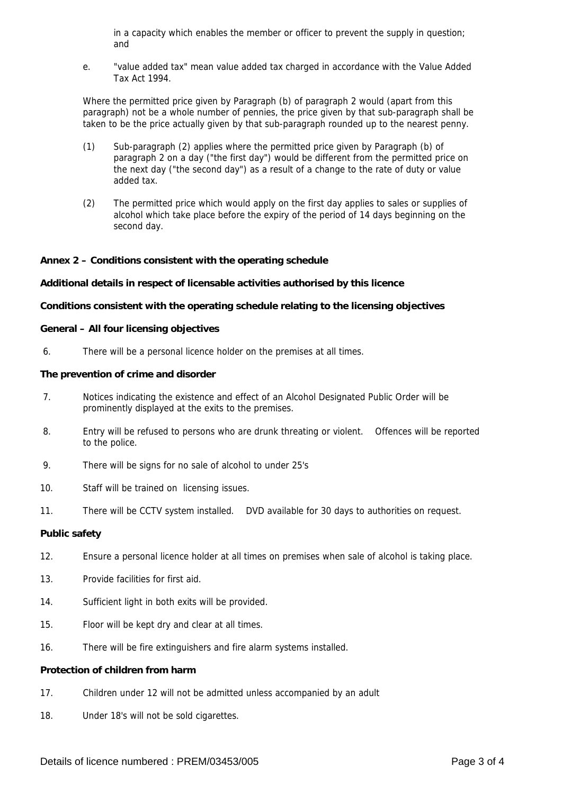in a capacity which enables the member or officer to prevent the supply in question; and

e. "value added tax" mean value added tax charged in accordance with the Value Added Tax Act 1994.

Where the permitted price given by Paragraph (b) of paragraph 2 would (apart from this paragraph) not be a whole number of pennies, the price given by that sub-paragraph shall be taken to be the price actually given by that sub-paragraph rounded up to the nearest penny.

- (1) Sub-paragraph (2) applies where the permitted price given by Paragraph (b) of paragraph 2 on a day ("the first day") would be different from the permitted price on the next day ("the second day") as a result of a change to the rate of duty or value added tax.
- (2) The permitted price which would apply on the first day applies to sales or supplies of alcohol which take place before the expiry of the period of 14 days beginning on the second day.

#### **Annex 2 – Conditions consistent with the operating schedule**

#### **Additional details in respect of licensable activities authorised by this licence**

### **Conditions consistent with the operating schedule relating to the licensing objectives**

#### **General – All four licensing objectives**

6. There will be a personal licence holder on the premises at all times.

#### **The prevention of crime and disorder**

- 7. Notices indicating the existence and effect of an Alcohol Designated Public Order will be prominently displayed at the exits to the premises.
- 8. Entry will be refused to persons who are drunk threating or violent. Offences will be reported to the police.
- 9. There will be signs for no sale of alcohol to under 25's
- 10. Staff will be trained on licensing issues.
- 11. There will be CCTV system installed. DVD available for 30 days to authorities on request.

#### **Public safety**

- 12. Ensure a personal licence holder at all times on premises when sale of alcohol is taking place.
- 13. Provide facilities for first aid.
- 14. Sufficient light in both exits will be provided.
- 15. Floor will be kept dry and clear at all times.
- 16. There will be fire extinguishers and fire alarm systems installed.

#### **Protection of children from harm**

- 17. Children under 12 will not be admitted unless accompanied by an adult
- 18. Under 18's will not be sold cigarettes.